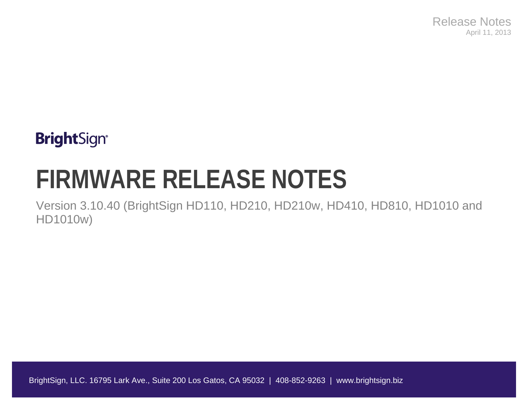Release Notes April 11, 2013

## **BrightSign®**

# **FIRMWARE RELEASE NOTES**

Version 3.10.40 (BrightSign HD110, HD210, HD210w, HD410, HD810, HD1010 and HD1010w)

BrightSign, LLC. 16795 Lark Ave., Suite 200 Los Gatos, CA 95032 | 408-852-9263 | www.brightsign.biz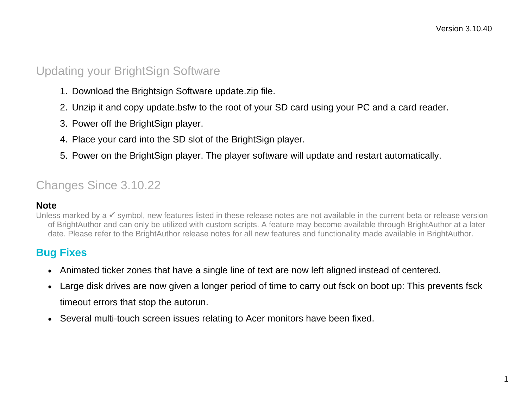### Updating your BrightSign Software

- 1. Download the Brightsign Software update.zip file.
- 2. Unzip it and copy update.bsfw to the root of your SD card using your PC and a card reader.
- 3. Power off the BrightSign player.
- 4. Place your card into the SD slot of the BrightSign player.
- 5. Power on the BrightSign player. The player software will update and restart automatically.

### Changes Since 3.10.22

#### **Note**

Unless marked by a  $\checkmark$  symbol, new features listed in these release notes are not available in the current beta or release version of BrightAuthor and can only be utilized with custom scripts. A feature may become available through BrightAuthor at a later date. Please refer to the BrightAuthor release notes for all new features and functionality made available in BrightAuthor.

#### **Bug Fixes**

- Animated ticker zones that have a single line of text are now left aligned instead of centered.
- Large disk drives are now given a longer period of time to carry out fsck on boot up: This prevents fsck timeout errors that stop the autorun.
- Several multi-touch screen issues relating to Acer monitors have been fixed.